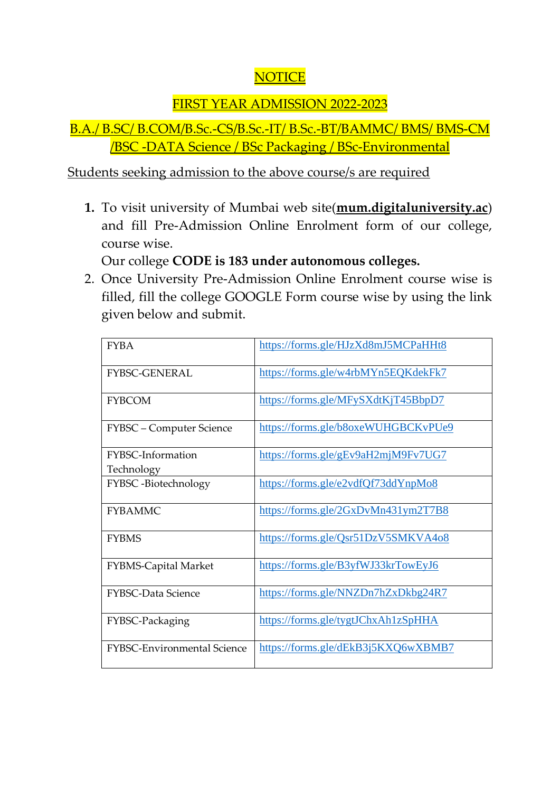## **NOTICE**

## FIRST YEAR ADMISSION 2022-2023

## B.A./ B.SC/ B.COM/B.Sc.-CS/B.Sc.-IT/ B.Sc.-BT/BAMMC/ BMS/ BMS-CM /BSC -DATA Science / BSc Packaging / BSc-Environmental

Students seeking admission to the above course/s are required

**1.** To visit university of Mumbai web site(**mum.digitaluniversity.ac**) and fill Pre-Admission Online Enrolment form of our college, course wise.

Our college **CODE is 183 under autonomous colleges.**

2. Once University Pre-Admission Online Enrolment course wise is filled, fill the college GOOGLE Form course wise by using the link given below and submit.

| <b>FYBA</b>                        | https://forms.gle/HJzXd8mJ5MCPaHHt8 |
|------------------------------------|-------------------------------------|
| <b>FYBSC-GENERAL</b>               | https://forms.gle/w4rbMYn5EQKdekFk7 |
| <b>FYBCOM</b>                      | https://forms.gle/MFySXdtKjT45BbpD7 |
| FYBSC - Computer Science           | https://forms.gle/b8oxeWUHGBCKvPUe9 |
| FYBSC-Information<br>Technology    | https://forms.gle/gEv9aH2mjM9Fv7UG7 |
| FYBSC-Biotechnology                | https://forms.gle/e2vdfQf73ddYnpMo8 |
| <b>FYBAMMC</b>                     | https://forms.gle/2GxDvMn431ym2T7B8 |
| <b>FYBMS</b>                       | https://forms.gle/Qsr51DzV5SMKVA4o8 |
| <b>FYBMS-Capital Market</b>        | https://forms.gle/B3yfWJ33krTowEyJ6 |
| <b>FYBSC-Data Science</b>          | https://forms.gle/NNZDn7hZxDkbg24R7 |
| FYBSC-Packaging                    | https://forms.gle/tygtJChxAh1zSpHHA |
| <b>FYBSC-Environmental Science</b> | https://forms.gle/dEkB3j5KXQ6wXBMB7 |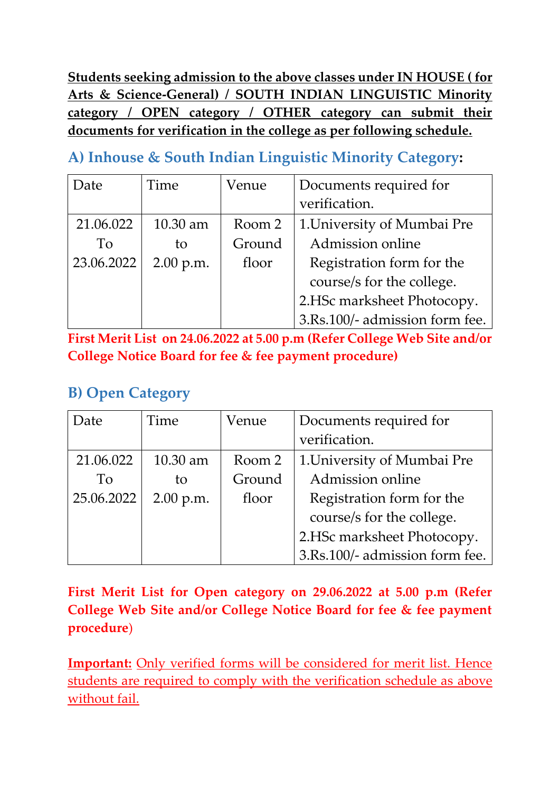**Students seeking admission to the above classes under IN HOUSE ( for Arts & Science-General) / SOUTH INDIAN LINGUISTIC Minority category / OPEN category / OTHER category can submit their documents for verification in the college as per following schedule.**

**A) Inhouse & South Indian Linguistic Minority Category:**

| Date       | Time       | Venue                              | Documents required for         |
|------------|------------|------------------------------------|--------------------------------|
|            |            | verification.                      |                                |
| 21.06.022  | $10.30$ am | Room 2                             | 1. University of Mumbai Pre    |
| To         | to         | Ground                             | Admission online               |
| 23.06.2022 | 2.00 p.m.  | Registration form for the<br>floor |                                |
|            |            |                                    | course/s for the college.      |
|            |            |                                    | 2.HSc marksheet Photocopy.     |
|            |            |                                    | 3.Rs.100/- admission form fee. |

**First Merit List on 24.06.2022 at 5.00 p.m (Refer College Web Site and/or College Notice Board for fee & fee payment procedure)**

## **B) Open Category**

| Date       | Time        | Venue  | Documents required for         |
|------------|-------------|--------|--------------------------------|
|            |             |        | verification.                  |
| 21.06.022  | $10.30$ am  | Room 2 | 1. University of Mumbai Pre    |
| To         | to          | Ground | Admission online               |
| 25.06.2022 | $2.00$ p.m. | floor  | Registration form for the      |
|            |             |        | course/s for the college.      |
|            |             |        | 2.HSc marksheet Photocopy.     |
|            |             |        | 3.Rs.100/- admission form fee. |

**First Merit List for Open category on 29.06.2022 at 5.00 p.m (Refer College Web Site and/or College Notice Board for fee & fee payment procedure**)

**Important:** Only verified forms will be considered for merit list. Hence students are required to comply with the verification schedule as above without fail.